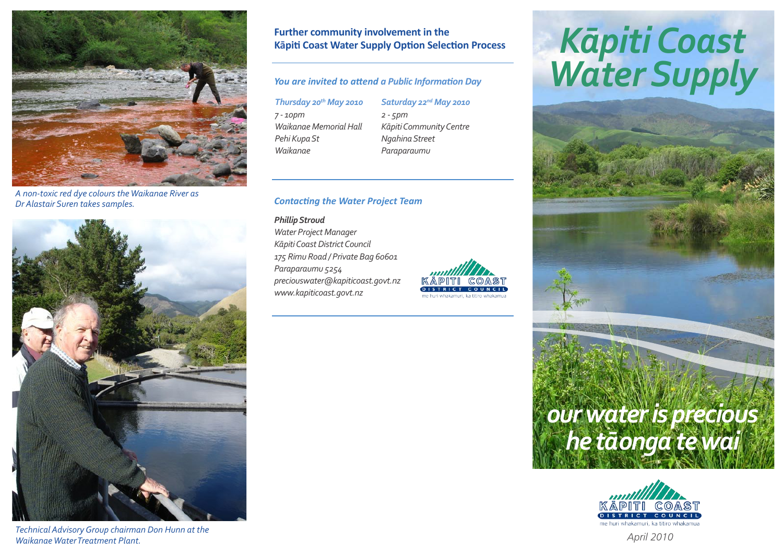

*A non-toxic red dye colours the Waikanae River as Dr Alastair Suren takes samples.*



*Technical Advisory Group chairman Don Hunn at the Waikanae Water Treatment Plant.*

## **Further community involvement in the Kāpiti Coast Water Supply Option Selection Process**

### *You are invited to attend a Public Information Day*

*Thursday 20th May 2010 7 - 10pm Waikanae Memorial Hall Pehi Kupa St Waikanae*

*Saturday 22nd May 2010 2 - 5pm Kāpiti Community Centre Ngahina Street Paraparaumu*

#### *Contacting the Water Project Team*

*Phillip Stroud Water Project Manager Kāpiti Coast District Council 175 Rimu Road / Private Bag 60601 Paraparaumu 5254 preciouswater@kapiticoast.govt.nz www.kapiticoast.govt.nz*



# *Kāpiti Coast Water Supply*





*April 2010*